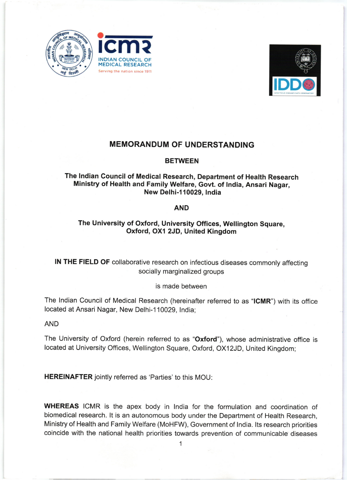





# MEMORANDUM OF UNDERSTANDING

### **BETWEEN**

# The lndian Council of Medical Research, Department of Health Research Ministry of Health and Family welfare, Govt. of lndia, Ansari Nagar, New Delhi-1 10029, lndia

#### AND

## The University of Oxford, University Offices, Wellington Square, Oxford, OXI 2JD, United Kingdom

IN THE FIELD OF collaborative research on infectious diseases commonly affecting socially marginalized groups

### is made between

The Indian Council of Medical Research (hereinafter referred to as "ICMR") with its office located at Ansari Nagar, New Delhi-110029, India;

AND

The University of Oxford (herein referred to as "Oxford"), whose administrative office is located at University Offices, Wellington Square, Oxford, OX12JD, United Kingdom;

HEREINAFTER jointly referred as 'Parties' to this MOU:

WHEREAS ICMR is the apex body in India for the formulation and coordination of biomedical research. lt is an autonomous body under the Department of Health Research, Ministry of Health and Family Welfare (MoHFW), Government of lndia. lts research priorities coincide with the national health priorities towards prevention of communicable diseases